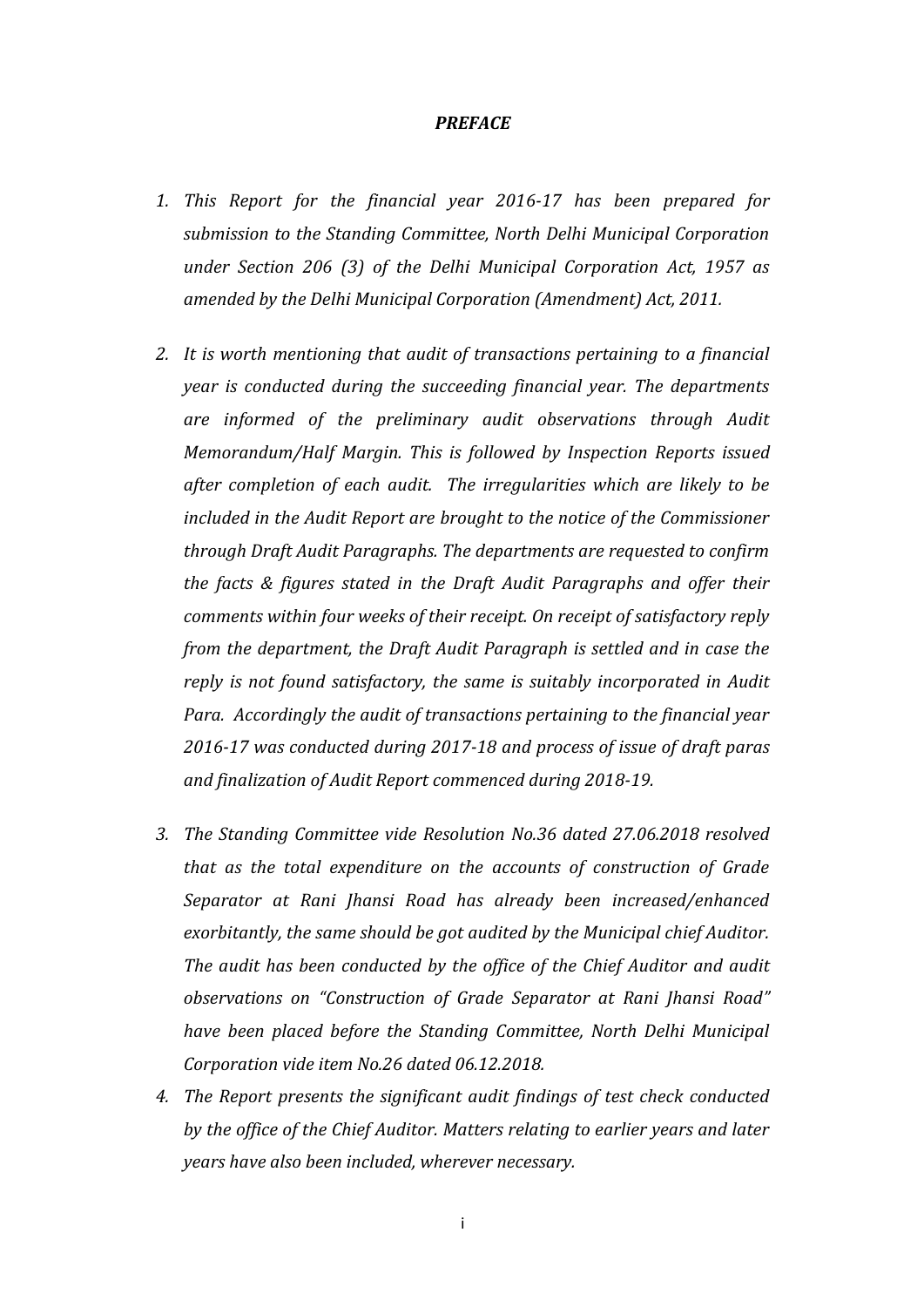#### *PREFACE*

- *1. This Report for the financial year 2016-17 has been prepared for submission to the Standing Committee, North Delhi Municipal Corporation under Section 206 (3) of the Delhi Municipal Corporation Act, 1957 as amended by the Delhi Municipal Corporation (Amendment) Act, 2011.*
- *2. It is worth mentioning that audit of transactions pertaining to a financial year is conducted during the succeeding financial year. The departments are informed of the preliminary audit observations through Audit Memorandum/Half Margin. This is followed by Inspection Reports issued after completion of each audit. The irregularities which are likely to be included in the Audit Report are brought to the notice of the Commissioner through Draft Audit Paragraphs. The departments are requested to confirm the facts & figures stated in the Draft Audit Paragraphs and offer their comments within four weeks of their receipt. On receipt of satisfactory reply from the department, the Draft Audit Paragraph is settled and in case the reply is not found satisfactory, the same is suitably incorporated in Audit Para. Accordingly the audit of transactions pertaining to the financial year 2016-17 was conducted during 2017-18 and process of issue of draft paras and finalization of Audit Report commenced during 2018-19.*
- *3. The Standing Committee vide Resolution No.36 dated 27.06.2018 resolved that as the total expenditure on the accounts of construction of Grade Separator at Rani Jhansi Road has already been increased/enhanced exorbitantly, the same should be got audited by the Municipal chief Auditor. The audit has been conducted by the office of the Chief Auditor and audit observations on "Construction of Grade Separator at Rani Jhansi Road" have been placed before the Standing Committee, North Delhi Municipal Corporation vide item No.26 dated 06.12.2018.*
- *4. The Report presents the significant audit findings of test check conducted by the office of the Chief Auditor. Matters relating to earlier years and later years have also been included, wherever necessary.*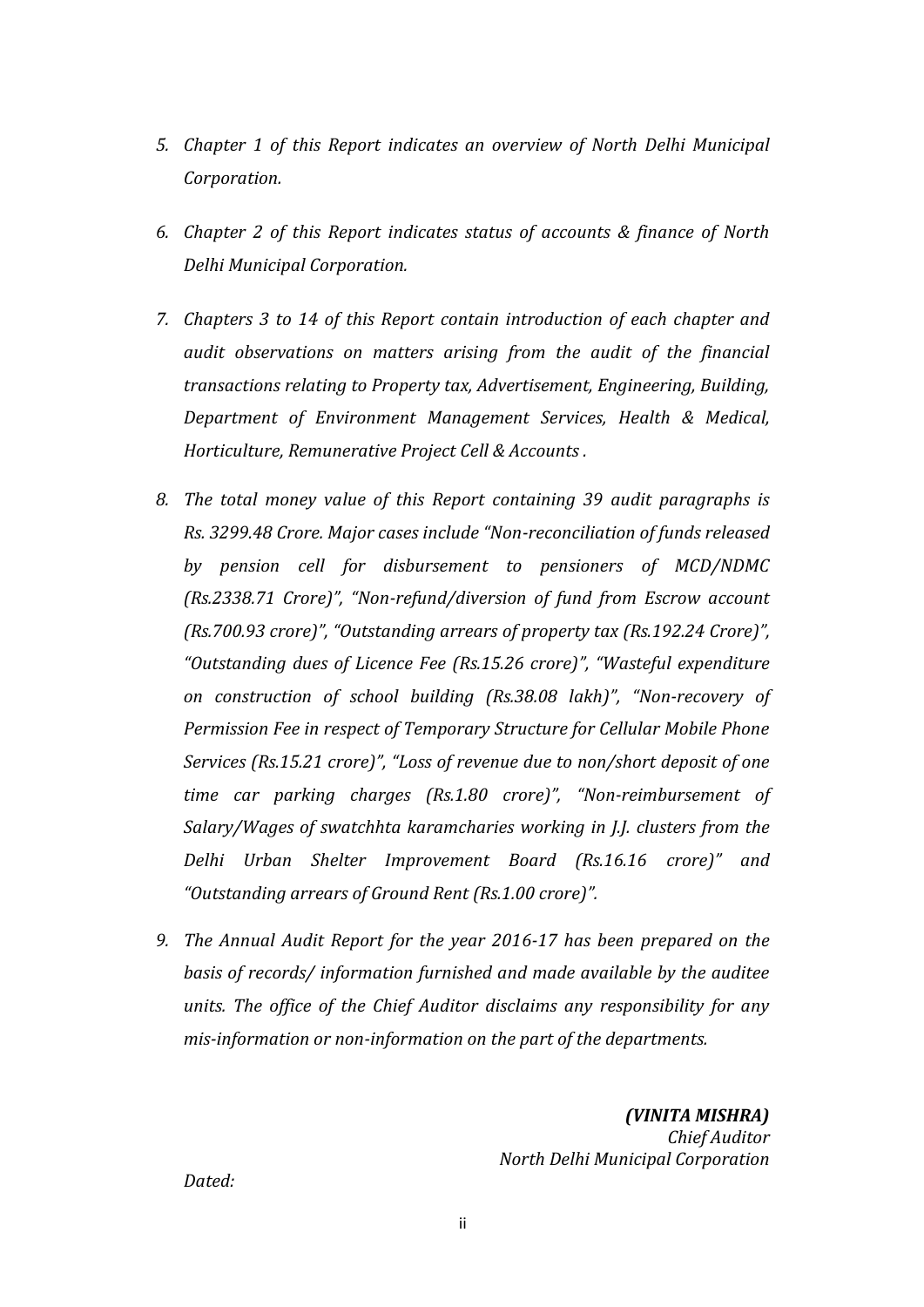- *5. Chapter 1 of this Report indicates an overview of North Delhi Municipal Corporation.*
- *6. Chapter 2 of this Report indicates status of accounts & finance of North Delhi Municipal Corporation.*
- *7. Chapters 3 to 14 of this Report contain introduction of each chapter and audit observations on matters arising from the audit of the financial transactions relating to Property tax, Advertisement, Engineering, Building, Department of Environment Management Services, Health & Medical, Horticulture, Remunerative Project Cell & Accounts .*
- *8. The total money value of this Report containing 39 audit paragraphs is Rs. 3299.48 Crore. Major cases include "Non-reconciliation of funds released by pension cell for disbursement to pensioners of MCD/NDMC (Rs.2338.71 Crore)", "Non-refund/diversion of fund from Escrow account (Rs.700.93 crore)", "Outstanding arrears of property tax (Rs.192.24 Crore)", "Outstanding dues of Licence Fee (Rs.15.26 crore)", "Wasteful expenditure on construction of school building (Rs.38.08 lakh)", "Non-recovery of Permission Fee in respect of Temporary Structure for Cellular Mobile Phone Services (Rs.15.21 crore)", "Loss of revenue due to non/short deposit of one time car parking charges (Rs.1.80 crore)", "Non-reimbursement of Salary/Wages of swatchhta karamcharies working in J.J. clusters from the Delhi Urban Shelter Improvement Board (Rs.16.16 crore)" and "Outstanding arrears of Ground Rent (Rs.1.00 crore)".*
- *9. The Annual Audit Report for the year 2016-17 has been prepared on the basis of records/ information furnished and made available by the auditee units. The office of the Chief Auditor disclaims any responsibility for any mis-information or non-information on the part of the departments.*

*(VINITA MISHRA) Chief Auditor North Delhi Municipal Corporation*

*Dated:*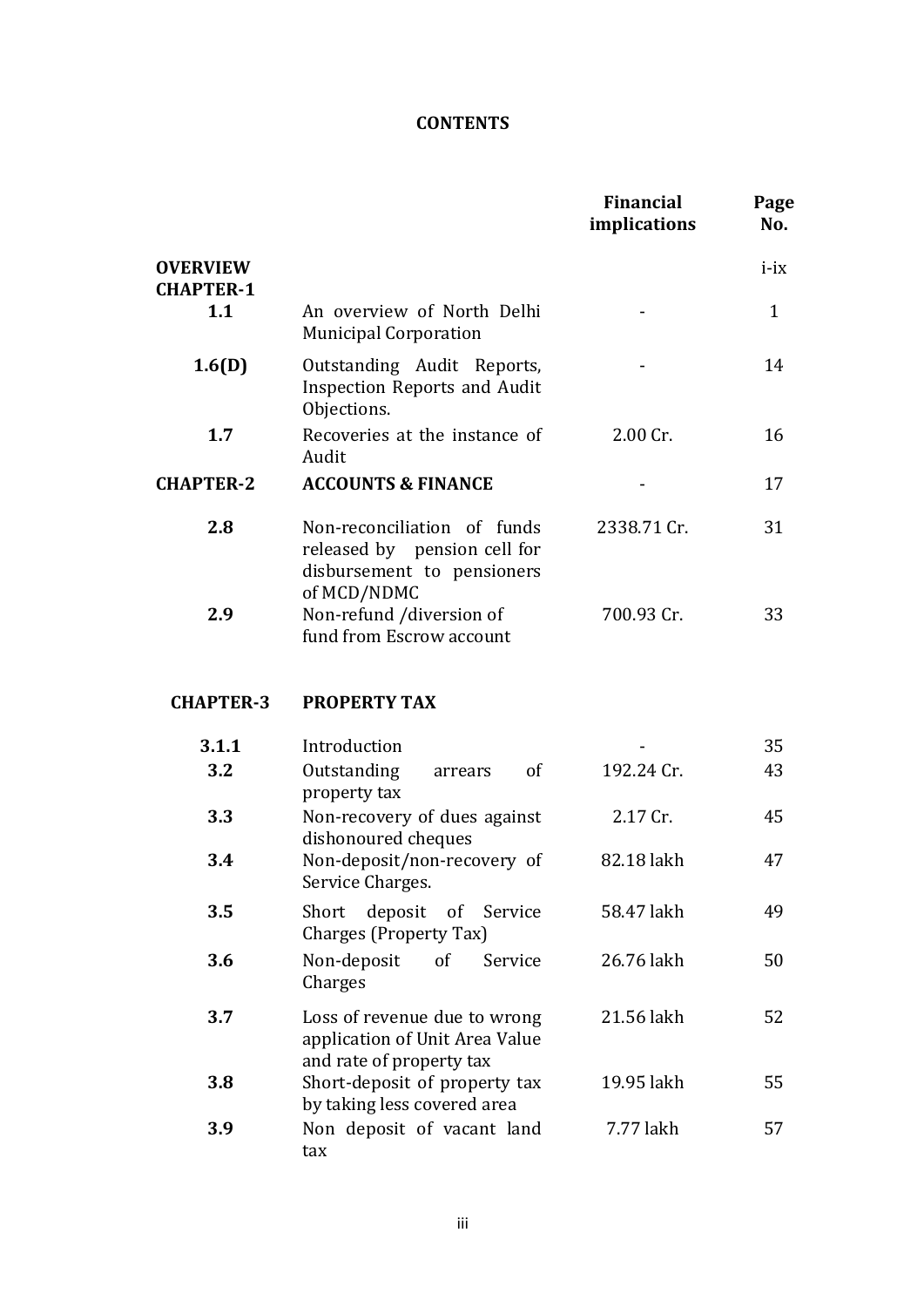# **CONTENTS**

|                                     |                                                                                                          | <b>Financial</b><br>implications | Page<br>No.  |
|-------------------------------------|----------------------------------------------------------------------------------------------------------|----------------------------------|--------------|
| <b>OVERVIEW</b><br><b>CHAPTER-1</b> |                                                                                                          |                                  | $i-ix$       |
| 1.1                                 | An overview of North Delhi<br><b>Municipal Corporation</b>                                               |                                  | $\mathbf{1}$ |
| 1.6(D)                              | Outstanding Audit Reports,<br><b>Inspection Reports and Audit</b><br>Objections.                         |                                  | 14           |
| 1.7                                 | Recoveries at the instance of<br>Audit                                                                   | 2.00 Cr.                         | 16           |
| <b>CHAPTER-2</b>                    | <b>ACCOUNTS &amp; FINANCE</b>                                                                            |                                  | 17           |
| 2.8                                 | Non-reconciliation of funds<br>released by pension cell for<br>disbursement to pensioners<br>of MCD/NDMC | 2338.71 Cr.                      | 31           |
| 2.9                                 | Non-refund /diversion of<br>fund from Escrow account                                                     | 700.93 Cr.                       | 33           |
| <b>CHAPTER-3</b>                    | <b>PROPERTY TAX</b>                                                                                      |                                  |              |
| 3.1.1                               | Introduction                                                                                             |                                  | 35           |
| 3.2                                 | Outstanding<br>of<br>arrears<br>property tax                                                             | 192.24 Cr.                       | 43           |
| 3.3                                 | Non-recovery of dues against<br>dishonoured cheques                                                      | 2.17 Cr.                         | 45           |
| 3.4                                 | Non-deposit/non-recovery of<br>Service Charges.                                                          | 82.18 lakh                       | 47           |
| 3.5                                 | deposit of Service<br>Short<br>Charges (Property Tax)                                                    | 58.47 lakh                       | 49           |
| 3.6                                 | Non-deposit<br>of<br>Service<br>Charges                                                                  | 26.76 lakh                       | 50           |
| 3.7                                 | Loss of revenue due to wrong<br>application of Unit Area Value<br>and rate of property tax               | 21.56 lakh                       | 52           |
| 3.8                                 | Short-deposit of property tax<br>by taking less covered area                                             | 19.95 lakh                       | 55           |
| 3.9                                 | Non deposit of vacant land<br>tax                                                                        | 7.77 lakh                        | 57           |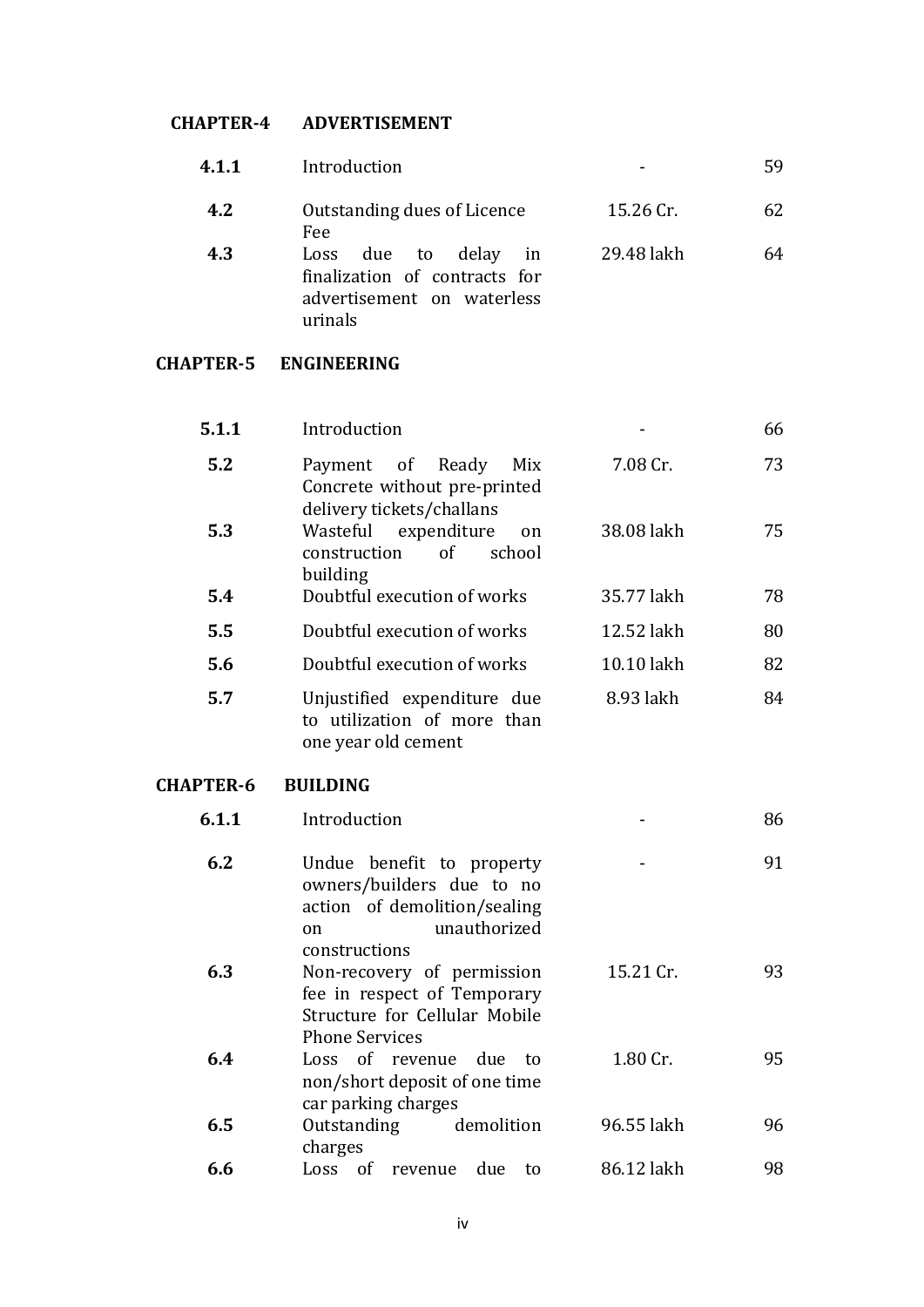# **CHAPTER-4 ADVERTISEMENT**

| 4.1.1 | Introduction                                                                                      | -          | 59 |
|-------|---------------------------------------------------------------------------------------------------|------------|----|
| 4.2   | Outstanding dues of Licence<br>Fee:                                                               | 15.26 Cr.  | 62 |
| 4.3   | Loss due to delay<br>in<br>finalization of contracts for<br>advertisement on waterless<br>urinals | 29.48 lakh | 64 |

# **CHAPTER-5 ENGINEERING**

| 5.1.1            | Introduction                                                                                                 |            | 66 |
|------------------|--------------------------------------------------------------------------------------------------------------|------------|----|
| 5.2              | Payment of Ready<br>Mix<br>Concrete without pre-printed<br>delivery tickets/challans                         | 7.08 Cr.   | 73 |
| 5.3              | Wasteful expenditure<br>on<br>$\sigma$ f<br>school<br>construction<br>building                               | 38.08 lakh | 75 |
| 5.4              | Doubtful execution of works                                                                                  | 35.77 lakh | 78 |
| 5.5              | Doubtful execution of works                                                                                  | 12.52 lakh | 80 |
| 5.6              | Doubtful execution of works                                                                                  | 10.10 lakh | 82 |
| 5.7              | Unjustified expenditure due<br>to utilization of more than<br>one year old cement                            | 8.93 lakh  | 84 |
| <b>CHAPTER-6</b> | <b>BUILDING</b>                                                                                              |            |    |
|                  |                                                                                                              |            |    |
| 6.1.1            | Introduction                                                                                                 |            | 86 |
| 6.2              | Undue benefit to property<br>owners/builders due to no<br>action of demolition/sealing<br>unauthorized<br>on |            | 91 |
| 6.3              | constructions<br>Non-recovery of permission<br>fee in respect of Temporary<br>Structure for Cellular Mobile  | 15.21 Cr.  | 93 |
| 6.4              | <b>Phone Services</b><br>Loss of revenue due<br>to<br>non/short deposit of one time<br>car parking charges   | 1.80 Cr.   | 95 |

charges **6.6** Loss of revenue due to 86.12 lakh 98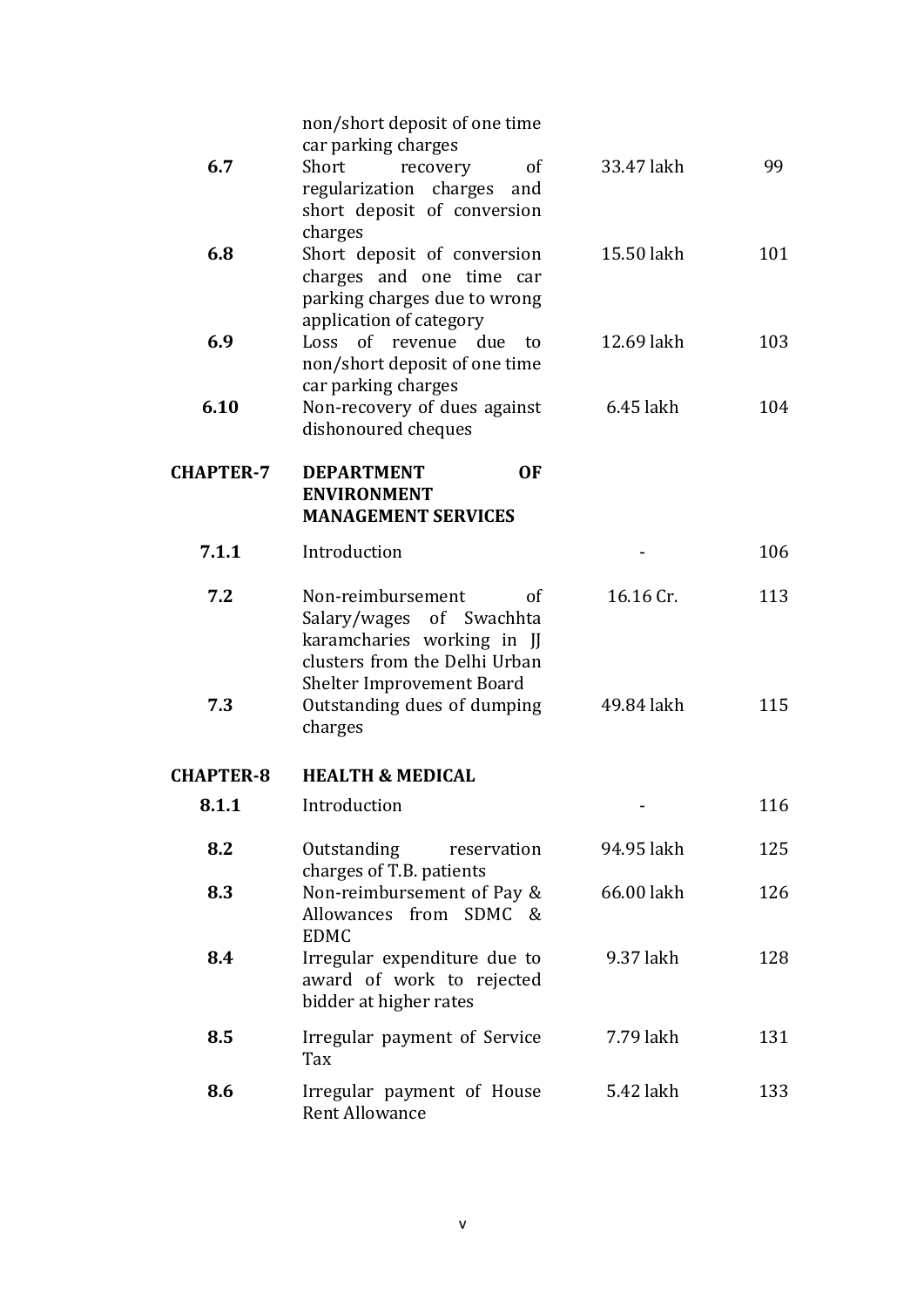| 6.7              | non/short deposit of one time<br>car parking charges<br>Short<br>recovery<br><sub>of</sub><br>regularization charges and<br>short deposit of conversion | 33.47 lakh | 99  |
|------------------|---------------------------------------------------------------------------------------------------------------------------------------------------------|------------|-----|
| 6.8              | charges<br>Short deposit of conversion<br>charges and one time car<br>parking charges due to wrong                                                      | 15.50 lakh | 101 |
| 6.9              | application of category<br>Loss of revenue due<br>to<br>non/short deposit of one time                                                                   | 12.69 lakh | 103 |
| 6.10             | car parking charges<br>Non-recovery of dues against<br>dishonoured cheques                                                                              | 6.45 lakh  | 104 |
| <b>CHAPTER-7</b> | <b>DEPARTMENT</b><br><b>OF</b><br><b>ENVIRONMENT</b><br><b>MANAGEMENT SERVICES</b>                                                                      |            |     |
| 7.1.1            | Introduction                                                                                                                                            |            | 106 |
| 7.2              | Non-reimbursement<br>of<br>Salary/wages of Swachhta<br>karamcharies working in JJ<br>clusters from the Delhi Urban                                      | 16.16 Cr.  | 113 |
| 7.3              | <b>Shelter Improvement Board</b><br>Outstanding dues of dumping<br>charges                                                                              | 49.84 lakh | 115 |
| <b>CHAPTER-8</b> | <b>HEALTH &amp; MEDICAL</b>                                                                                                                             |            |     |
| 8.1.1            | Introduction                                                                                                                                            |            | 116 |
| 8.2              | Outstanding<br>reservation<br>charges of T.B. patients                                                                                                  | 94.95 lakh | 125 |
| 8.3              | Non-reimbursement of Pay &<br>Allowances from SDMC &<br><b>EDMC</b>                                                                                     | 66.00 lakh | 126 |
| 8.4              | Irregular expenditure due to<br>award of work to rejected<br>bidder at higher rates                                                                     | 9.37 lakh  | 128 |
| 8.5              | Irregular payment of Service<br>Tax                                                                                                                     | 7.79 lakh  | 131 |
| 8.6              | Irregular payment of House<br><b>Rent Allowance</b>                                                                                                     | 5.42 lakh  | 133 |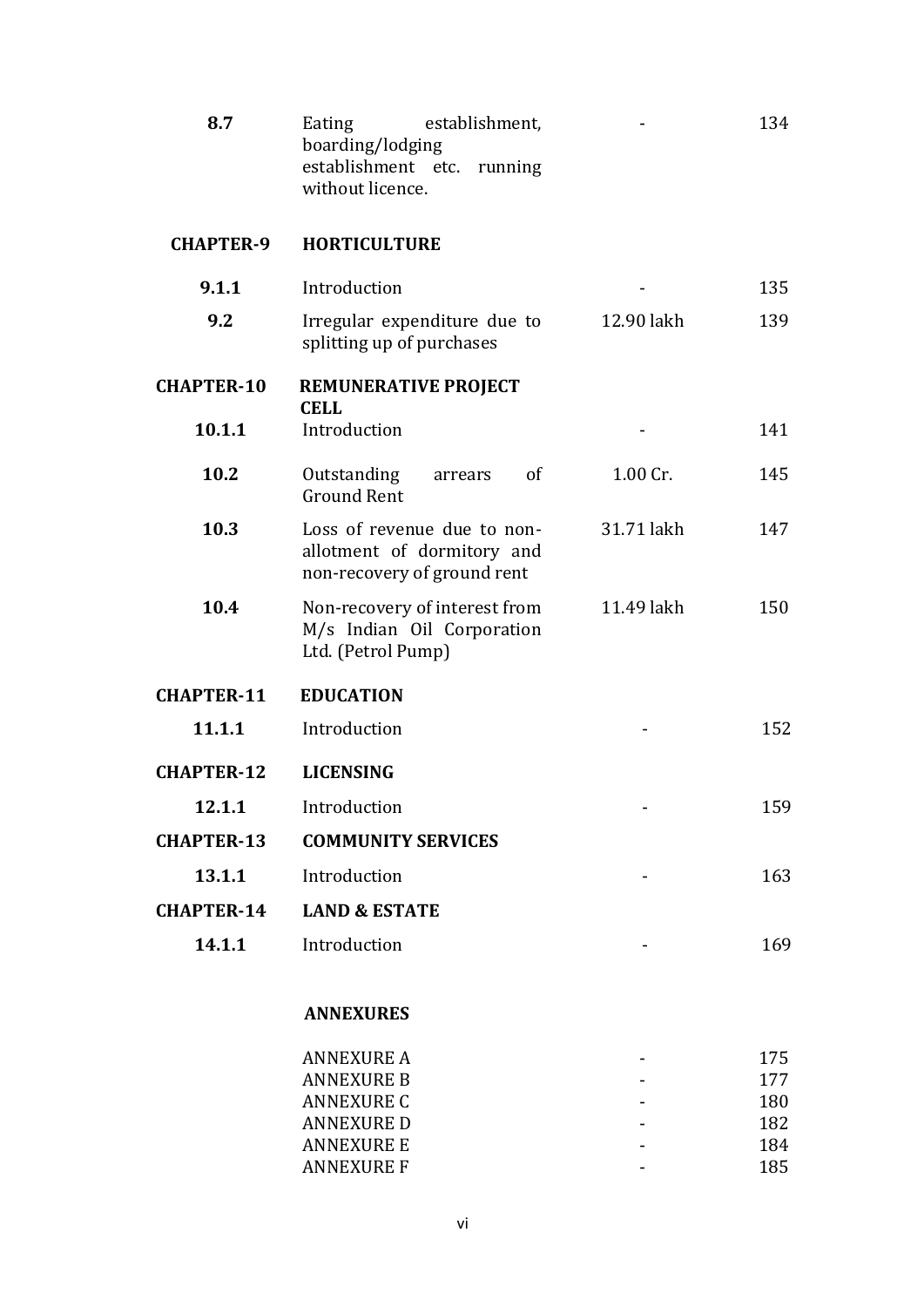| 8.7               | establishment,<br>Eating<br>boarding/lodging<br>establishment etc. running<br>without licence. |            | 134 |
|-------------------|------------------------------------------------------------------------------------------------|------------|-----|
| <b>CHAPTER-9</b>  | <b>HORTICULTURE</b>                                                                            |            |     |
| 9.1.1             | Introduction                                                                                   |            | 135 |
| 9.2               | Irregular expenditure due to<br>splitting up of purchases                                      | 12.90 lakh | 139 |
| <b>CHAPTER-10</b> | <b>REMUNERATIVE PROJECT</b><br><b>CELL</b>                                                     |            |     |
| 10.1.1            | Introduction                                                                                   |            | 141 |
| 10.2              | Outstanding<br>of<br>arrears<br><b>Ground Rent</b>                                             | 1.00 Cr.   | 145 |
| 10.3              | Loss of revenue due to non-<br>allotment of dormitory and<br>non-recovery of ground rent       | 31.71 lakh | 147 |
| 10.4              | Non-recovery of interest from<br>M/s Indian Oil Corporation<br>Ltd. (Petrol Pump)              | 11.49 lakh | 150 |
| <b>CHAPTER-11</b> | <b>EDUCATION</b>                                                                               |            |     |
| 11.1.1            | Introduction                                                                                   |            | 152 |
| <b>CHAPTER-12</b> | <b>LICENSING</b>                                                                               |            |     |
| 12.1.1            | Introduction                                                                                   |            | 159 |
| <b>CHAPTER-13</b> | <b>COMMUNITY SERVICES</b>                                                                      |            |     |
| 13.1.1            | Introduction                                                                                   |            | 163 |
| <b>CHAPTER-14</b> | <b>LAND &amp; ESTATE</b>                                                                       |            |     |
| 14.1.1            | Introduction                                                                                   |            | 169 |
|                   | <b>ANNEXURES</b>                                                                               |            |     |
|                   | <b>ANNEXURE A</b>                                                                              |            | 175 |
|                   | <b>ANNEXURE B</b>                                                                              |            | 177 |
|                   | <b>ANNEXURE C</b>                                                                              |            | 180 |
|                   | <b>ANNEXURE D</b>                                                                              |            | 182 |
|                   | <b>ANNEXURE E</b>                                                                              |            | 184 |
|                   | <b>ANNEXURE F</b>                                                                              |            | 185 |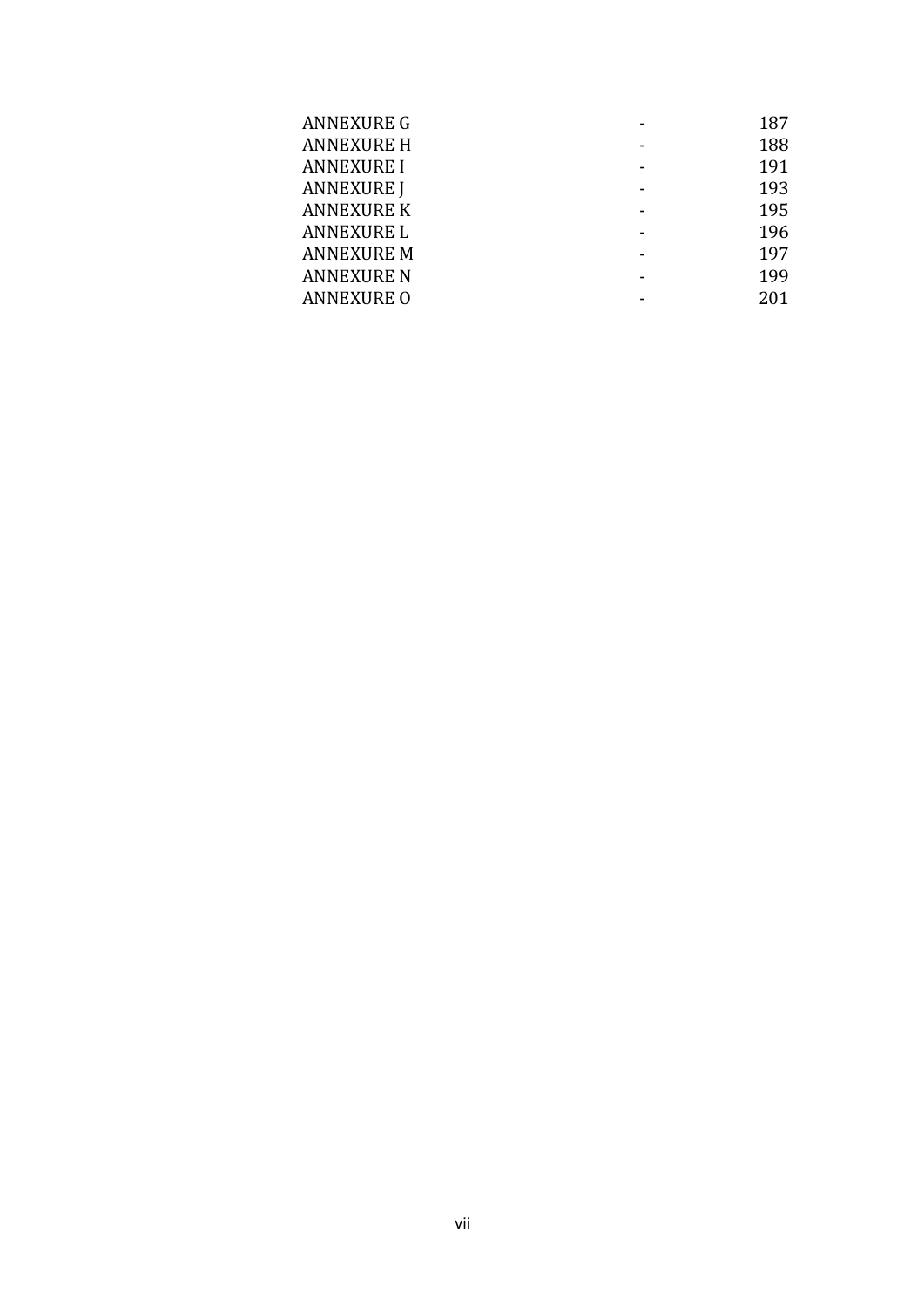| <b>ANNEXURE G</b> | 187 |
|-------------------|-----|
| <b>ANNEXURE H</b> | 188 |
| <b>ANNEXURE I</b> | 191 |
| <b>ANNEXURE J</b> | 193 |
| <b>ANNEXURE K</b> | 195 |
| <b>ANNEXURE L</b> | 196 |
| <b>ANNEXURE M</b> | 197 |
| <b>ANNEXURE N</b> | 199 |
| <b>ANNEXURE O</b> | 201 |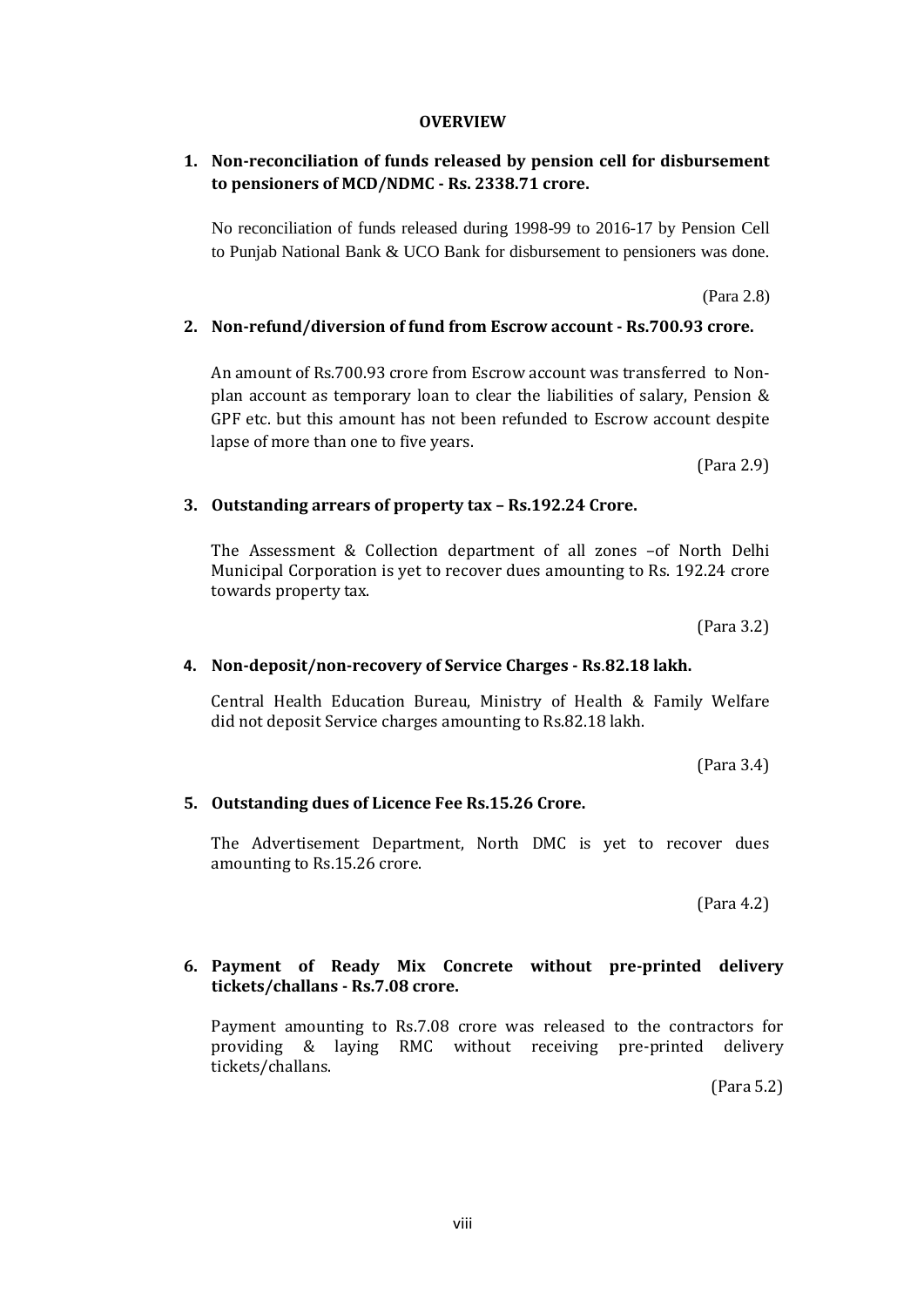### **OVERVIEW**

# **1. Non-reconciliation of funds released by pension cell for disbursement to pensioners of MCD/NDMC - Rs. 2338.71 crore.**

No reconciliation of funds released during 1998-99 to 2016-17 by Pension Cell to Punjab National Bank & UCO Bank for disbursement to pensioners was done.

(Para 2.8)

#### **2. Non-refund/diversion of fund from Escrow account - Rs.700.93 crore.**

An amount of Rs.700.93 crore from Escrow account was transferred to Nonplan account as temporary loan to clear the liabilities of salary, Pension & GPF etc. but this amount has not been refunded to Escrow account despite lapse of more than one to five years.

(Para 2.9)

#### **3. Outstanding arrears of property tax – Rs.192.24 Crore.**

The Assessment & Collection department of all zones –of North Delhi Municipal Corporation is yet to recover dues amounting to Rs. 192.24 crore towards property tax.

(Para 3.2)

#### **4. Non-deposit/non-recovery of Service Charges - Rs**.**82.18 lakh.**

Central Health Education Bureau, Ministry of Health & Family Welfare did not deposit Service charges amounting to Rs.82.18 lakh.

(Para 3.4)

#### **5. Outstanding dues of Licence Fee Rs.15.26 Crore.**

The Advertisement Department, North DMC is yet to recover dues amounting to Rs.15.26 crore.

(Para 4.2)

### **6. Payment of Ready Mix Concrete without pre-printed delivery tickets/challans - Rs.7.08 crore.**

Payment amounting to Rs.7.08 crore was released to the contractors for providing & laying RMC without receiving pre-printed delivery tickets/challans.

(Para 5.2)